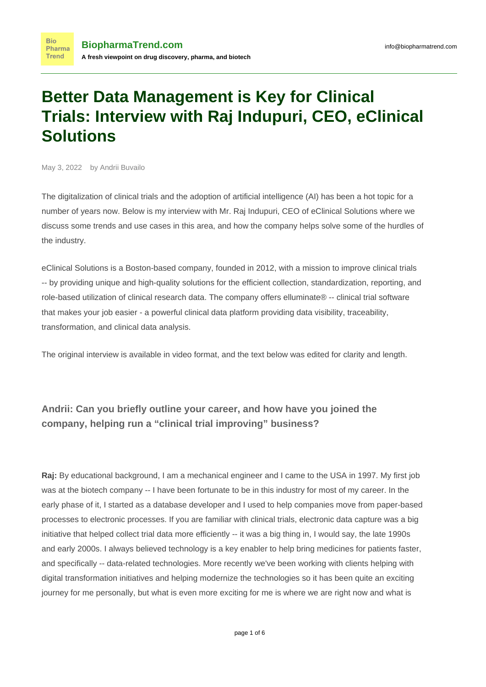# **Better Data Management is Key for Clinical Trials: Interview with Raj Indupuri, CEO, eClinical Solutions**

May 3, 2022 by Andrii Buvailo

**Bio** 

The digitalization of clinical trials and the adoption of artificial intelligence (AI) has been a hot topic for a number of years now. Below is my interview with Mr. Raj Indupuri, CEO of [eClinical Solutions](https://www.biopharmatrend.com/m/company/eclinical-solutions/) where we discuss some trends and use cases in this area, and how the company helps solve some of the hurdles of the industry.

[eClinical Solutions](https://www.biopharmatrend.com/m/company/eclinical-solutions/) is a Boston-based company, founded in 2012, with a mission to improve clinical trials -- by providing unique and high-quality solutions for the efficient collection, standardization, reporting, and role-based utilization of clinical research data. The company offers elluminate® -- clinical trial software that makes your job easier - a powerful clinical data platform providing data visibility, traceability, transformation, and clinical data analysis.

The original interview is available in video format, and the text below was edited for clarity and length.

## **Andrii: Can you briefly outline your career, and how have you joined the company, helping run a "clinical trial improving" business?**

**Raj:** By educational background, I am a mechanical engineer and I came to the USA in 1997. My first job was at the biotech company -- I have been fortunate to be in this industry for most of my career. In the early phase of it, I started as a database developer and I used to help companies move from paper-based processes to electronic processes. If you are familiar with clinical trials, electronic data capture was a big initiative that helped collect trial data more efficiently -- it was a big thing in, I would say, the late 1990s and early 2000s. I always believed technology is a key enabler to help bring medicines for patients faster, and specifically -- data-related technologies. More recently we've been working with clients helping with digital transformation initiatives and helping modernize the technologies so it has been quite an exciting journey for me personally, but what is even more exciting for me is where we are right now and what is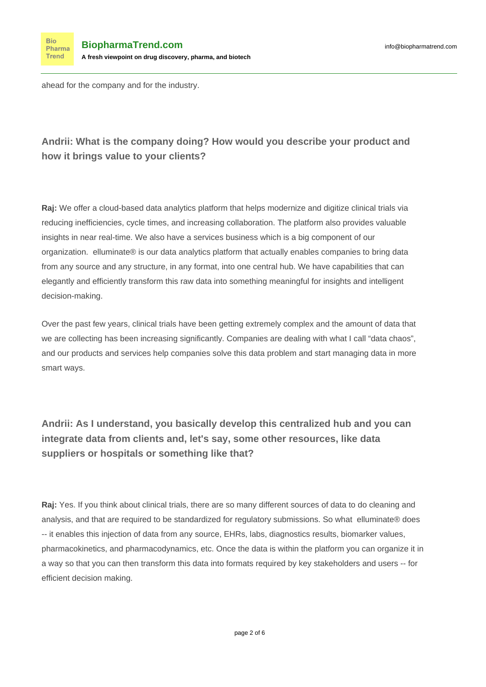ahead for the company and for the industry.

**Bio** Pharma Trend

#### **Andrii: What is the company doing? How would you describe your product and how it brings value to your clients?**

**Raj:** We offer a cloud-based data analytics platform that helps modernize and digitize clinical trials via reducing inefficiencies, cycle times, and increasing collaboration. The platform also provides valuable insights in near real-time. We also have a services business which is a big component of our organization. elluminate® is our data analytics platform that actually enables companies to bring data from any source and any structure, in any format, into one central hub. We have capabilities that can elegantly and efficiently transform this raw data into something meaningful for insights and intelligent decision-making.

Over the past few years, clinical trials have been getting extremely complex and the amount of data that we are collecting has been increasing significantly. Companies are dealing with what I call "data chaos", and our products and services help companies solve this data problem and start managing data in more smart ways.

**Andrii: As I understand, you basically develop this centralized hub and you can integrate data from clients and, let's say, some other resources, like data suppliers or hospitals or something like that?**

**Raj:** Yes. If you think about clinical trials, there are so many different sources of data to do cleaning and analysis, and that are required to be standardized for regulatory submissions. So what elluminate® does -- it enables this injection of data from any source, EHRs, labs, diagnostics results, biomarker values, pharmacokinetics, and pharmacodynamics, etc. Once the data is within the platform you can organize it in a way so that you can then transform this data into formats required by key stakeholders and users -- for efficient decision making.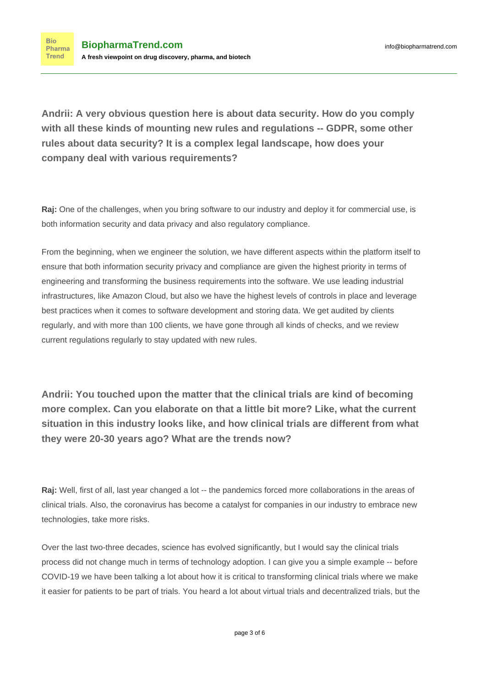**Andrii: A very obvious question here is about data security. How do you comply with all these kinds of mounting new rules and regulations -- GDPR, some other rules about data security? It is a complex legal landscape, how does your company deal with various requirements?**

**Raj:** One of the challenges, when you bring software to our industry and deploy it for commercial use, is both information security and data privacy and also regulatory compliance.

From the beginning, when we engineer the solution, we have different aspects within the platform itself to ensure that both information security privacy and compliance are given the highest priority in terms of engineering and transforming the business requirements into the software. We use leading industrial infrastructures, like Amazon Cloud, but also we have the highest levels of controls in place and leverage best practices when it comes to software development and storing data. We get audited by clients regularly, and with more than 100 clients, we have gone through all kinds of checks, and we review current regulations regularly to stay updated with new rules.

**Andrii: You touched upon the matter that the clinical trials are kind of becoming more complex. Can you elaborate on that a little bit more? Like, what the current situation in this industry looks like, and how clinical trials are different from what they were 20-30 years ago? What are the trends now?**

**Raj:** Well, first of all, last year changed a lot -- the pandemics forced more collaborations in the areas of clinical trials. Also, the coronavirus has become a catalyst for companies in our industry to embrace new technologies, take more risks.

Over the last two-three decades, science has evolved significantly, but I would say the clinical trials process did not change much in terms of technology adoption. I can give you a simple example -- before COVID-19 we have been talking a lot about how it is critical to transforming clinical trials where we make it easier for patients to be part of trials. You heard a lot about virtual trials and decentralized trials, but the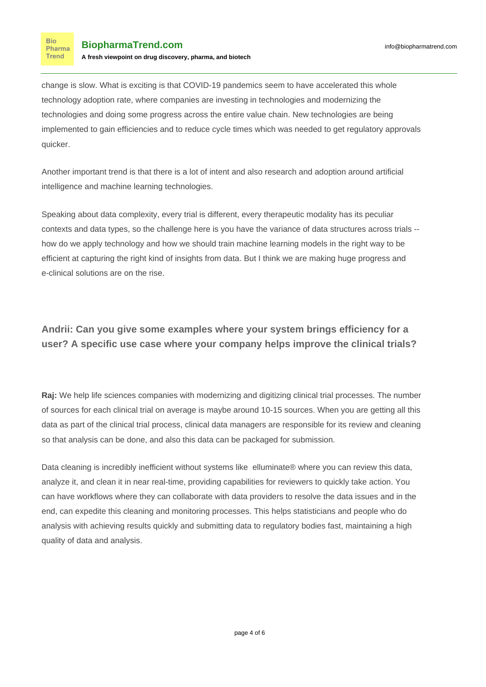**Bio** Pharma **Trend** 

change is slow. What is exciting is that COVID-19 pandemics seem to have accelerated this whole technology adoption rate, where companies are investing in technologies and modernizing the technologies and doing some progress across the entire value chain. New technologies are being implemented to gain efficiencies and to reduce cycle times which was needed to get regulatory approvals quicker.

Another important trend is that there is a lot of intent and also research and adoption around artificial intelligence and machine learning technologies.

Speaking about data complexity, every trial is different, every therapeutic modality has its peculiar contexts and data types, so the challenge here is you have the variance of data structures across trials - how do we apply technology and how we should train machine learning models in the right way to be efficient at capturing the right kind of insights from data. But I think we are making huge progress and e-clinical solutions are on the rise.

### **Andrii: Can you give some examples where your system brings efficiency for a user? A specific use case where your company helps improve the clinical trials?**

**Raj:** We help life sciences companies with modernizing and digitizing clinical trial processes. The number of sources for each clinical trial on average is maybe around 10-15 sources. When you are getting all this data as part of the clinical trial process, clinical data managers are responsible for its review and cleaning so that analysis can be done, and also this data can be packaged for submission.

Data cleaning is incredibly inefficient without systems like elluminate® where you can review this data, analyze it, and clean it in near real-time, providing capabilities for reviewers to quickly take action. You can have workflows where they can collaborate with data providers to resolve the data issues and in the end, can expedite this cleaning and monitoring processes. This helps statisticians and people who do analysis with achieving results quickly and submitting data to regulatory bodies fast, maintaining a high quality of data and analysis.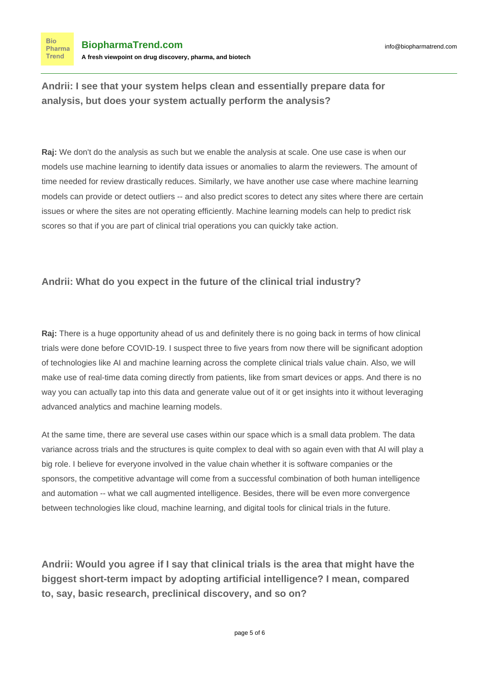**Andrii: I see that your system helps clean and essentially prepare data for analysis, but does your system actually perform the analysis?**

**Raj:** We don't do the analysis as such but we enable the analysis at scale. One use case is when our models use machine learning to identify data issues or anomalies to alarm the reviewers. The amount of time needed for review drastically reduces. Similarly, we have another use case where machine learning models can provide or detect outliers -- and also predict scores to detect any sites where there are certain issues or where the sites are not operating efficiently. Machine learning models can help to predict risk scores so that if you are part of clinical trial operations you can quickly take action.

#### **Andrii: What do you expect in the future of the clinical trial industry?**

**Raj:** There is a huge opportunity ahead of us and definitely there is no going back in terms of how clinical trials were done before COVID-19. I suspect three to five years from now there will be significant adoption of technologies like AI and machine learning across the complete clinical trials value chain. Also, we will make use of real-time data coming directly from patients, like from smart devices or apps. And there is no way you can actually tap into this data and generate value out of it or get insights into it without leveraging advanced analytics and machine learning models.

At the same time, there are several use cases within our space which is a small data problem. The data variance across trials and the structures is quite complex to deal with so again even with that AI will play a big role. I believe for everyone involved in the value chain whether it is software companies or the sponsors, the competitive advantage will come from a successful combination of both human intelligence and automation -- what we call augmented intelligence. Besides, there will be even more convergence between technologies like cloud, machine learning, and digital tools for clinical trials in the future.

**Andrii: Would you agree if I say that clinical trials is the area that might have the biggest short-term impact by adopting artificial intelligence? I mean, compared to, say, basic research, preclinical discovery, and so on?**